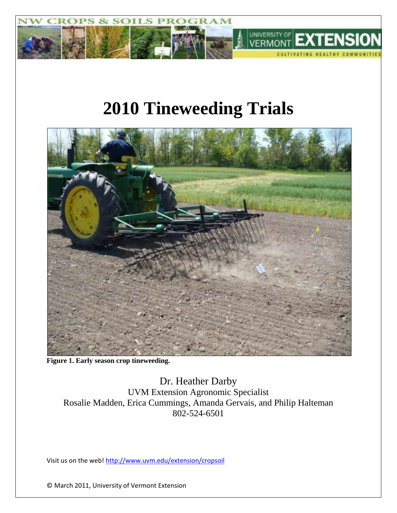

# **2010 Tineweeding Trials**



**Figure 1. Early season crop tineweeding.**

Dr. Heather Darby UVM Extension Agronomic Specialist Rosalie Madden, Erica Cummings, Amanda Gervais, and Philip Halteman 802-524-6501

Visit us on the web!<http://www.uvm.edu/extension/cropsoil>

© March 2011, University of Vermont Extension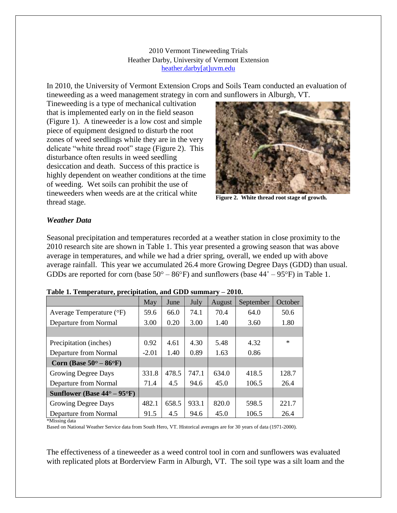2010 Vermont Tineweeding Trials Heather Darby, University of Vermont Extension [heather.darby\[at\]uvm.edu](mailto:heather.darby@uvm.edu?subject=Tineweeding%20Trial)

In 2010, the University of Vermont Extension Crops and Soils Team conducted an evaluation of tineweeding as a weed management strategy in corn and sunflowers in Alburgh, VT.

Tineweeding is a type of mechanical cultivation that is implemented early on in the field season (Figure 1). A tineweeder is a low cost and simple piece of equipment designed to disturb the root zones of weed seedlings while they are in the very delicate "white thread root" stage (Figure 2). This disturbance often results in weed seedling desiccation and death. Success of this practice is highly dependent on weather conditions at the time of weeding. Wet soils can prohibit the use of tineweeders when weeds are at the critical white thread stage.



**Figure 2. White thread root stage of growth.**

### *Weather Data*

Seasonal precipitation and temperatures recorded at a weather station in close proximity to the 2010 research site are shown in Table 1. This year presented a growing season that was above average in temperatures, and while we had a drier spring, overall, we ended up with above average rainfall. This year we accumulated 26.4 more Growing Degree Days (GDD) than usual. GDDs are reported for corn (base  $50^{\circ} - 86^{\circ}$ F) and sunflowers (base  $44^{\circ} - 95^{\circ}$ F) in Table 1.

|                                              | May     | June  | July  | August | September | October |
|----------------------------------------------|---------|-------|-------|--------|-----------|---------|
| Average Temperature $(^{\circ}F)$            | 59.6    | 66.0  | 74.1  | 70.4   | 64.0      | 50.6    |
| Departure from Normal                        | 3.00    | 0.20  | 3.00  | 1.40   | 3.60      | 1.80    |
|                                              |         |       |       |        |           |         |
| Precipitation (inches)                       | 0.92    | 4.61  | 4.30  | 5.48   | 4.32      | $\ast$  |
| Departure from Normal                        | $-2.01$ | 1.40  | 0.89  | 1.63   | 0.86      |         |
| Corn (Base $50^{\circ} - 86^{\circ}$ F)      |         |       |       |        |           |         |
| Growing Degree Days                          | 331.8   | 478.5 | 747.1 | 634.0  | 418.5     | 128.7   |
| Departure from Normal                        | 71.4    | 4.5   | 94.6  | 45.0   | 106.5     | 26.4    |
| Sunflower (Base $44^{\circ} - 95^{\circ}F$ ) |         |       |       |        |           |         |
| Growing Degree Days                          | 482.1   | 658.5 | 933.1 | 820.0  | 598.5     | 221.7   |
| Departure from Normal                        | 91.5    | 4.5   | 94.6  | 45.0   | 106.5     | 26.4    |

#### **Table 1. Temperature, precipitation, and GDD summary – 2010.**

\*Missing data

Based on National Weather Service data from South Hero, VT. Historical averages are for 30 years of data (1971-2000).

The effectiveness of a tineweeder as a weed control tool in corn and sunflowers was evaluated with replicated plots at Borderview Farm in Alburgh, VT. The soil type was a silt loam and the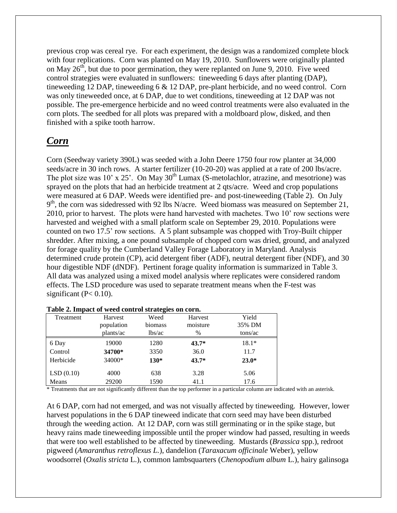previous crop was cereal rye. For each experiment, the design was a randomized complete block with four replications. Corn was planted on May 19, 2010. Sunflowers were originally planted on May  $26<sup>th</sup>$ , but due to poor germination, they were replanted on June 9, 2010. Five weed control strategies were evaluated in sunflowers: tineweeding 6 days after planting (DAP), tineweeding 12 DAP, tineweeding 6 & 12 DAP, pre-plant herbicide, and no weed control. Corn was only tineweeded once, at 6 DAP, due to wet conditions, tineweeding at 12 DAP was not possible. The pre-emergence herbicide and no weed control treatments were also evaluated in the corn plots. The seedbed for all plots was prepared with a moldboard plow, disked, and then finished with a spike tooth harrow.

## *Corn*

Corn (Seedway variety 390L) was seeded with a John Deere 1750 four row planter at 34,000 seeds/acre in 30 inch rows. A starter fertilizer (10-20-20) was applied at a rate of 200 lbs/acre. The plot size was  $10'$  x  $25'$ . On May  $30<sup>th</sup>$  Lumax (S-metolachlor, atrazine, and mesotrione) was sprayed on the plots that had an herbicide treatment at 2 qts/acre. Weed and crop populations were measured at 6 DAP. Weeds were identified pre- and post-tineweeding (Table 2). On July 9<sup>th</sup>, the corn was sidedressed with 92 lbs N/acre. Weed biomass was measured on September 21, 2010, prior to harvest. The plots were hand harvested with machetes. Two 10' row sections were harvested and weighed with a small platform scale on September 29, 2010. Populations were counted on two 17.5' row sections. A 5 plant subsample was chopped with Troy-Built chipper shredder. After mixing, a one pound subsample of chopped corn was dried, ground, and analyzed for forage quality by the Cumberland Valley Forage Laboratory in Maryland. Analysis determined crude protein (CP), acid detergent fiber (ADF), neutral detergent fiber (NDF), and 30 hour digestible NDF (dNDF). Pertinent forage quality information is summarized in Table 3. All data was analyzed using a mixed model analysis where replicates were considered random effects. The LSD procedure was used to separate treatment means when the F-test was significant ( $P < 0.10$ ).

|           |            | o       |          |         |
|-----------|------------|---------|----------|---------|
| Treatment | Harvest    | Weed    | Harvest  | Yield   |
|           | population | biomass | moisture | 35% DM  |
|           | plants/ac  | lbs/ac  | $\%$     | tons/ac |
| 6 Day     | 19000      | 1280    | $43.7*$  | $18.1*$ |
| Control   | 34700*     | 3350    | 36.0     | 11.7    |
| Herbicide | 34000*     | $130*$  | $43.7*$  | $23.0*$ |
| LSD(0.10) | 4000       | 638     | 3.28     | 5.06    |
| Means     | 29200      | 1590    | 41.1     | 17.6    |

#### **Table 2. Impact of weed control strategies on corn.**

\* Treatments that are not significantly different than the top performer in a particular column are indicated with an asterisk.

At 6 DAP, corn had not emerged, and was not visually affected by tineweeding. However, lower harvest populations in the 6 DAP tineweed indicate that corn seed may have been disturbed through the weeding action. At 12 DAP, corn was still germinating or in the spike stage, but heavy rains made tineweeding impossible until the proper window had passed, resulting in weeds that were too well established to be affected by tineweeding. Mustards (*Brassica* spp.), redroot pigweed (*Amaranthus retroflexus L.*), dandelion (*Taraxacum officinale* Weber), yellow woodsorrel (*Oxalis stricta* L.), common lambsquarters (*Chenopodium album* L.), hairy galinsoga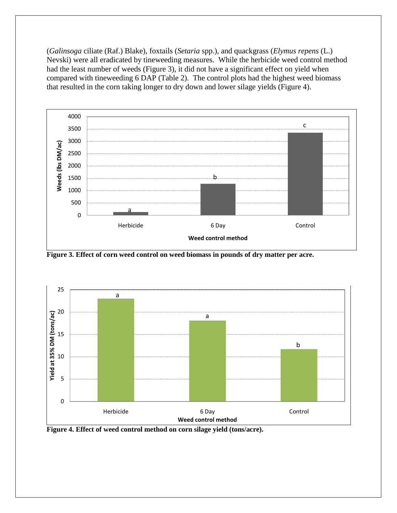(*Galinsoga* ciliate (Raf.) Blake), foxtails (*Setaria* spp.), and quackgrass (*Elymus repens* (L.) Nevski) were all eradicated by tineweeding measures. While the herbicide weed control method had the least number of weeds (Figure 3), it did not have a significant effect on yield when compared with tineweeding 6 DAP (Table 2). The control plots had the highest weed biomass that resulted in the corn taking longer to dry down and lower silage yields (Figure 4).



**Figure 3. Effect of corn weed control on weed biomass in pounds of dry matter per acre.**



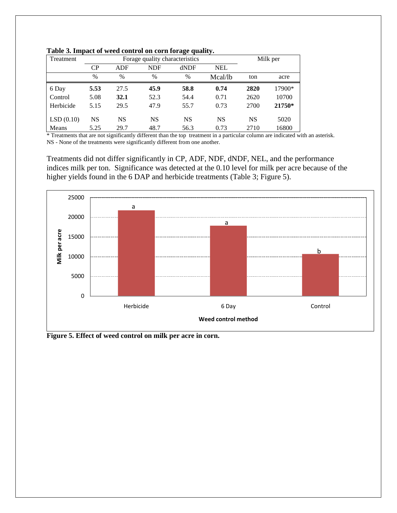| Treatment                                                                                                                                                                                                                               |                                   | Forage quality characteristics | Milk per     |               |            |           |            |
|-----------------------------------------------------------------------------------------------------------------------------------------------------------------------------------------------------------------------------------------|-----------------------------------|--------------------------------|--------------|---------------|------------|-----------|------------|
|                                                                                                                                                                                                                                         | CP                                | <b>ADF</b>                     | <b>NDF</b>   | dNDF          | <b>NEL</b> |           |            |
|                                                                                                                                                                                                                                         | $\%$                              | $\frac{0}{0}$                  | $\%$         | $\frac{0}{0}$ | Mcal/lb    | ton       | acre       |
| 6 Day                                                                                                                                                                                                                                   | 5.53                              | 27.5                           | 45.9         | 58.8          | 0.74       | 2820      | 17900*     |
| Control                                                                                                                                                                                                                                 | 5.08                              | 32.1                           | 52.3         | 54.4          | 0.71       | 2620      | 10700      |
| Herbicide                                                                                                                                                                                                                               | 5.15                              | 29.5                           | 47.9         | 55.7          | 0.73       | 2700      | 21750*     |
| LSD(0.10)                                                                                                                                                                                                                               | <b>NS</b>                         | <b>NS</b>                      | <b>NS</b>    | <b>NS</b>     | <b>NS</b>  | <b>NS</b> | 5020       |
| Means<br>and the contract of the contract of the contract of the contract of the contract of the contract of the contract of the contract of the contract of the contract of the contract of the contract of the contract of the contra | 5.25<br>and the state of the con- | 29.7<br>$\sim$                 | 48.7<br>1.00 | 56.3          | 0.73       | 2710      | 16800<br>. |

|  |  |  |  | Table 3. Impact of weed control on corn forage quality. |  |
|--|--|--|--|---------------------------------------------------------|--|
|  |  |  |  |                                                         |  |

\* Treatments that are not significantly different than the top treatment in a particular column are indicated with an asterisk. NS - None of the treatments were significantly different from one another.

Treatments did not differ significantly in CP, ADF, NDF, dNDF, NEL, and the performance indices milk per ton. Significance was detected at the 0.10 level for milk per acre because of the higher yields found in the 6 DAP and herbicide treatments (Table 3; Figure 5).



**Figure 5. Effect of weed control on milk per acre in corn.**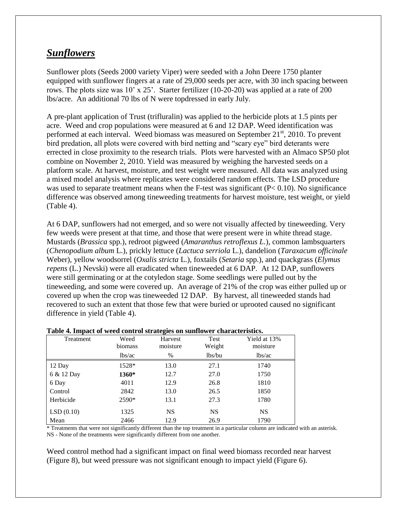### *Sunflowers*

Sunflower plots (Seeds 2000 variety Viper) were seeded with a John Deere 1750 planter equipped with sunflower fingers at a rate of 29,000 seeds per acre, with 30 inch spacing between rows. The plots size was 10' x 25'. Starter fertilizer (10-20-20) was applied at a rate of 200 lbs/acre. An additional 70 lbs of N were topdressed in early July.

A pre-plant application of Trust (trifluralin) was applied to the herbicide plots at 1.5 pints per acre. Weed and crop populations were measured at 6 and 12 DAP. Weed identification was performed at each interval. Weed biomass was measured on September  $21<sup>st</sup>$ , 2010. To prevent bird predation, all plots were covered with bird netting and "scary eye" bird deterants were errected in close proximity to the research trials. Plots were harvested with an Almaco SP50 plot combine on November 2, 2010. Yield was measured by weighing the harvested seeds on a platform scale. At harvest, moisture, and test weight were measured. All data was analyzed using a mixed model analysis where replicates were considered random effects. The LSD procedure was used to separate treatment means when the F-test was significant  $(P< 0.10)$ . No significance difference was observed among tineweeding treatments for harvest moisture, test weight, or yield (Table 4).

At 6 DAP, sunflowers had not emerged, and so were not visually affected by tineweeding. Very few weeds were present at that time, and those that were present were in white thread stage. Mustards (*Brassica* spp.), redroot pigweed (*Amaranthus retroflexus L.*), common lambsquarters (*Chenopodium album* L.), prickly lettuce (*Lactuca serriola* L.), dandelion (*Taraxacum officinale* Weber), yellow woodsorrel (*Oxalis stricta* L.), foxtails (*Setaria* spp.), and quackgrass (*Elymus repens* (L.) Nevski) were all eradicated when tineweeded at 6 DAP. At 12 DAP, sunflowers were still germinating or at the cotyledon stage. Some seedlings were pulled out by the tineweeding, and some were covered up. An average of 21% of the crop was either pulled up or covered up when the crop was tineweeded 12 DAP. By harvest, all tineweeded stands had recovered to such an extent that those few that were buried or uprooted caused no significant difference in yield (Table 4).

| Treatment  | Weed<br>biomass | <b>Harvest</b><br>moisture | Test<br>Weight | Yield at 13%<br>moisture |
|------------|-----------------|----------------------------|----------------|--------------------------|
|            | lbs/ac          | $\%$                       | lbs/bu         | lbs/ac                   |
| 12 Day     | 1528*           | 13.0                       | 27.1           | 1740                     |
| 6 & 12 Day | 1360*           | 12.7                       | 27.0           | 1750                     |
| 6 Day      | 4011            | 12.9                       | 26.8           | 1810                     |
| Control    | 2842            | 13.0                       | 26.5           | 1850                     |
| Herbicide  | 2590*           | 13.1                       | 27.3           | 1780                     |
| LSD(0.10)  | 1325            | <b>NS</b>                  | <b>NS</b>      | <b>NS</b>                |
| Mean       | 2466            | 12.9                       | 26.9           | 1790                     |

### **Table 4. Impact of weed control strategies on sunflower characteristics.**

\* Treatments that were not significantly different than the top treatment in a particular column are indicated with an asterisk. NS - None of the treatments were significantly different from one another.

Weed control method had a significant impact on final weed biomass recorded near harvest (Figure 8), but weed pressure was not significant enough to impact yield (Figure 6).